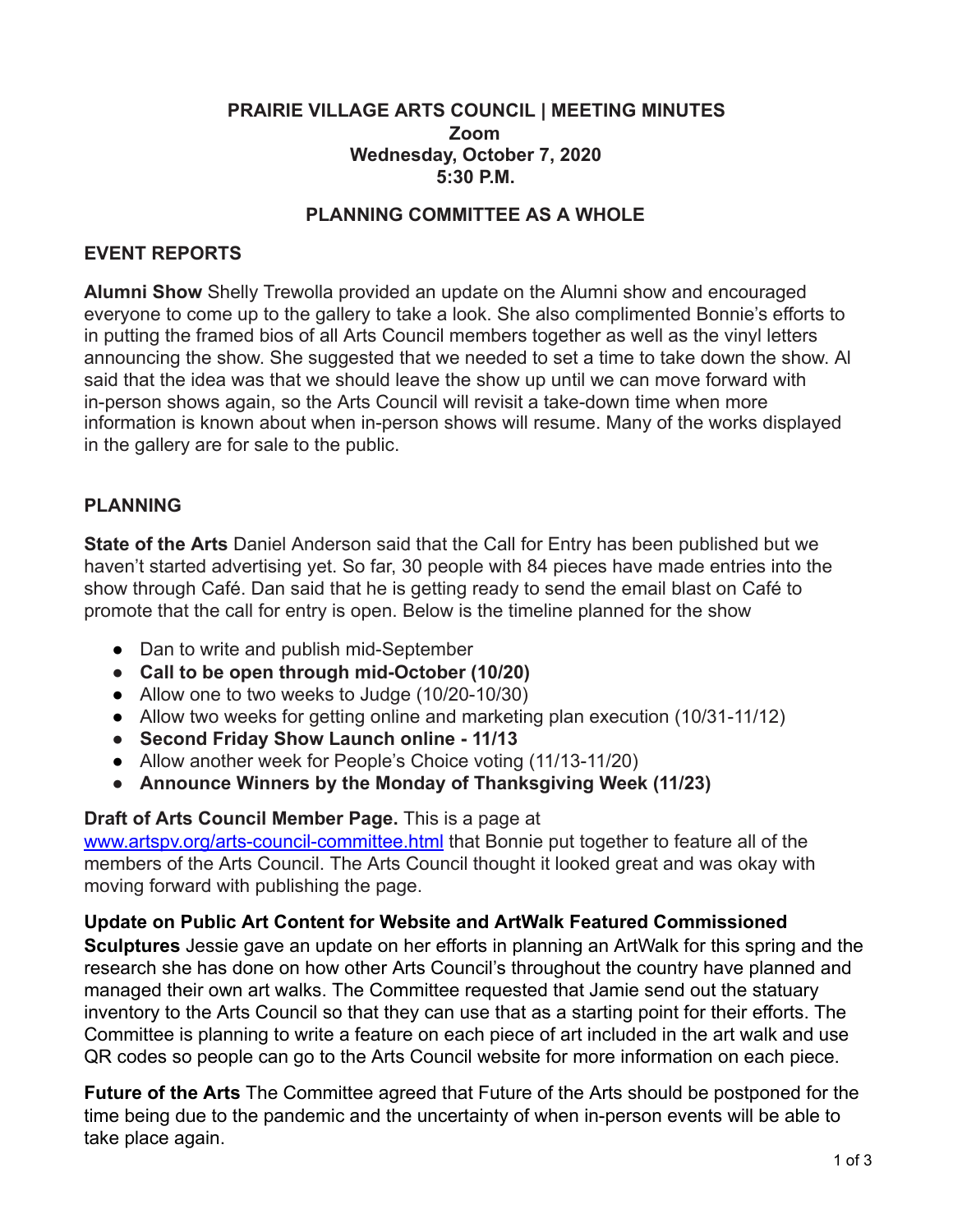### **PRAIRIE VILLAGE ARTS COUNCIL | MEETING MINUTES Zoom Wednesday, October 7, 2020 5:30 P.M.**

### **PLANNING COMMITTEE AS A WHOLE**

#### **EVENT REPORTS**

**Alumni Show** Shelly Trewolla provided an update on the Alumni show and encouraged everyone to come up to the gallery to take a look. She also complimented Bonnie's efforts to in putting the framed bios of all Arts Council members together as well as the vinyl letters announcing the show. She suggested that we needed to set a time to take down the show. Al said that the idea was that we should leave the show up until we can move forward with in-person shows again, so the Arts Council will revisit a take-down time when more information is known about when in-person shows will resume. Many of the works displayed in the gallery are for sale to the public.

## **PLANNING**

**State of the Arts** Daniel Anderson said that the Call for Entry has been published but we haven't started advertising yet. So far, 30 people with 84 pieces have made entries into the show through Café. Dan said that he is getting ready to send the email blast on Café to promote that the call for entry is open. Below is the timeline planned for the show

- Dan to write and publish mid-September
- **● Call to be open through mid-October (10/20)**
- Allow one to two weeks to Judge (10/20-10/30)
- Allow two weeks for getting online and marketing plan execution (10/31-11/12)
- **● Second Friday Show Launch online 11/13**
- Allow another week for People's Choice voting (11/13-11/20)
- **● Announce Winners by the Monday of Thanksgiving Week (11/23)**

#### **Draft of Arts Council Member Page.** This is a page at

[www.artspv.org/arts-council-committee.html](http://www.artspv.org/arts-council-committee.html) that Bonnie put together to feature all of the members of the Arts Council. The Arts Council thought it looked great and was okay with moving forward with publishing the page.

#### **Update on Public Art Content for Website and ArtWalk Featured Commissioned**

**Sculptures** Jessie gave an update on her efforts in planning an ArtWalk for this spring and the research she has done on how other Arts Council's throughout the country have planned and managed their own art walks. The Committee requested that Jamie send out the statuary inventory to the Arts Council so that they can use that as a starting point for their efforts. The Committee is planning to write a feature on each piece of art included in the art walk and use QR codes so people can go to the Arts Council website for more information on each piece.

**Future of the Arts** The Committee agreed that Future of the Arts should be postponed for the time being due to the pandemic and the uncertainty of when in-person events will be able to take place again.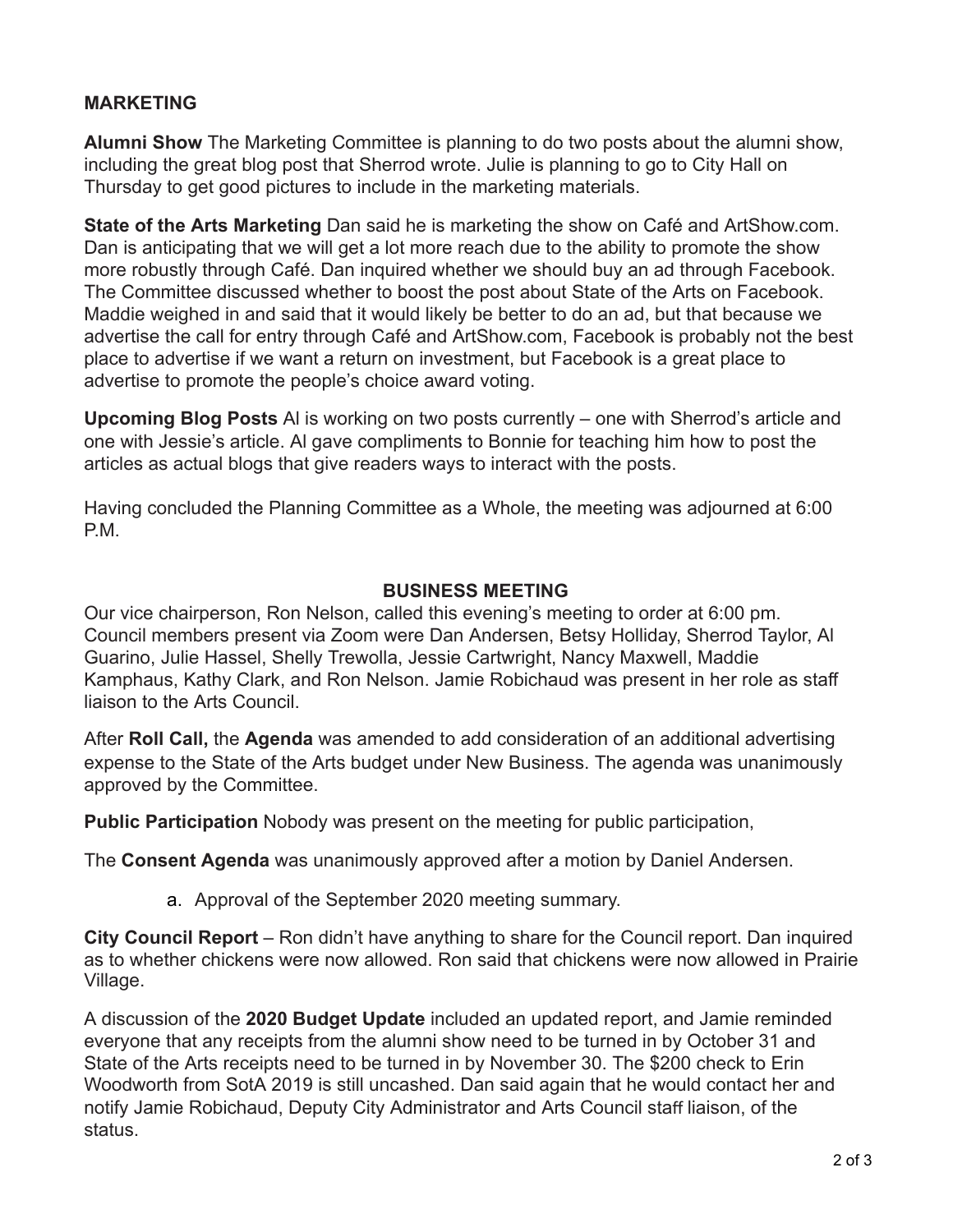# **MARKETING**

**Alumni Show** The Marketing Committee is planning to do two posts about the alumni show, including the great blog post that Sherrod wrote. Julie is planning to go to City Hall on Thursday to get good pictures to include in the marketing materials.

**State of the Arts Marketing** Dan said he is marketing the show on Café and ArtShow.com. Dan is anticipating that we will get a lot more reach due to the ability to promote the show more robustly through Café. Dan inquired whether we should buy an ad through Facebook. The Committee discussed whether to boost the post about State of the Arts on Facebook. Maddie weighed in and said that it would likely be better to do an ad, but that because we advertise the call for entry through Café and ArtShow.com, Facebook is probably not the best place to advertise if we want a return on investment, but Facebook is a great place to advertise to promote the people's choice award voting.

**Upcoming Blog Posts** Al is working on two posts currently – one with Sherrod's article and one with Jessie's article. Al gave compliments to Bonnie for teaching him how to post the articles as actual blogs that give readers ways to interact with the posts.

Having concluded the Planning Committee as a Whole, the meeting was adjourned at 6:00 P.M.

## **BUSINESS MEETING**

Our vice chairperson, Ron Nelson, called this evening's meeting to order at 6:00 pm. Council members present via Zoom were Dan Andersen, Betsy Holliday, Sherrod Taylor, Al Guarino, Julie Hassel, Shelly Trewolla, Jessie Cartwright, Nancy Maxwell, Maddie Kamphaus, Kathy Clark, and Ron Nelson. Jamie Robichaud was present in her role as staff liaison to the Arts Council.

After **Roll Call,** the **Agenda** was amended to add consideration of an additional advertising expense to the State of the Arts budget under New Business. The agenda was unanimously approved by the Committee.

**Public Participation** Nobody was present on the meeting for public participation,

The **Consent Agenda** was unanimously approved after a motion by Daniel Andersen.

a. Approval of the September 2020 meeting summary.

**City Council Report** – Ron didn't have anything to share for the Council report. Dan inquired as to whether chickens were now allowed. Ron said that chickens were now allowed in Prairie Village.

A discussion of the **2020 Budget Update** included an updated report, and Jamie reminded everyone that any receipts from the alumni show need to be turned in by October 31 and State of the Arts receipts need to be turned in by November 30. The \$200 check to Erin Woodworth from SotA 2019 is still uncashed. Dan said again that he would contact her and notify Jamie Robichaud, Deputy City Administrator and Arts Council staff liaison, of the status.